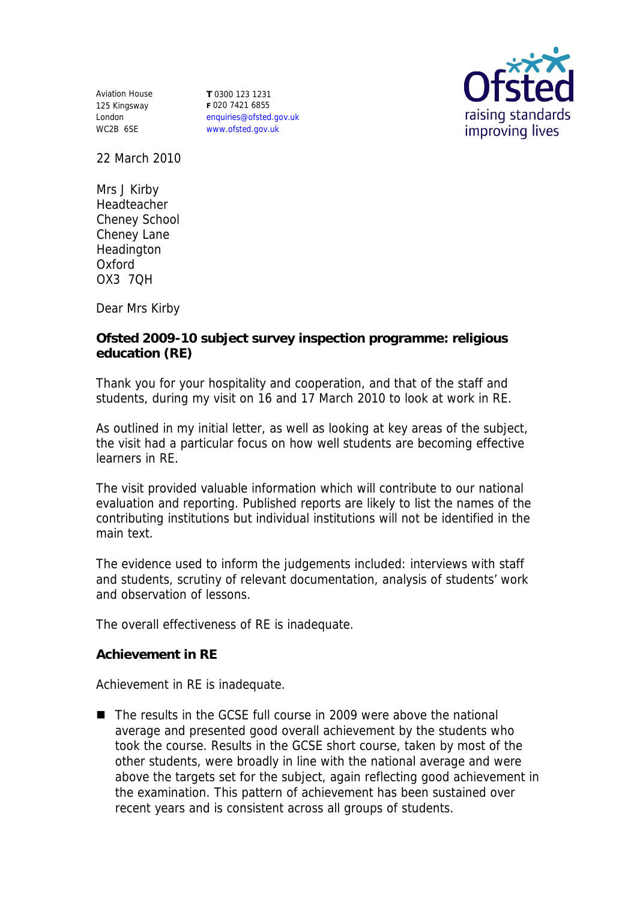Aviation House 125 Kingsway London WC2B 6SE

**T** 0300 123 1231 **F** 020 7421 6855 enquiries@ofsted.gov.uk www.ofsted.gov.uk



22 March 2010

Mrs J Kirby Headteacher Cheney School Cheney Lane Headington Oxford OX3 7QH

Dear Mrs Kirby

**Ofsted 2009-10 subject survey inspection programme: religious education (RE)**

Thank you for your hospitality and cooperation, and that of the staff and students, during my visit on 16 and 17 March 2010 to look at work in RE.

As outlined in my initial letter, as well as looking at key areas of the subject, the visit had a particular focus on how well students are becoming effective learners in RE.

The visit provided valuable information which will contribute to our national evaluation and reporting. Published reports are likely to list the names of the contributing institutions but individual institutions will not be identified in the main text.

The evidence used to inform the judgements included: interviews with staff and students, scrutiny of relevant documentation, analysis of students' work and observation of lessons.

The overall effectiveness of RE is inadequate.

**Achievement in RE** 

Achievement in RE is inadequate.

■ The results in the GCSE full course in 2009 were above the national average and presented good overall achievement by the students who took the course. Results in the GCSE short course, taken by most of the other students, were broadly in line with the national average and were above the targets set for the subject, again reflecting good achievement in the examination. This pattern of achievement has been sustained over recent years and is consistent across all groups of students.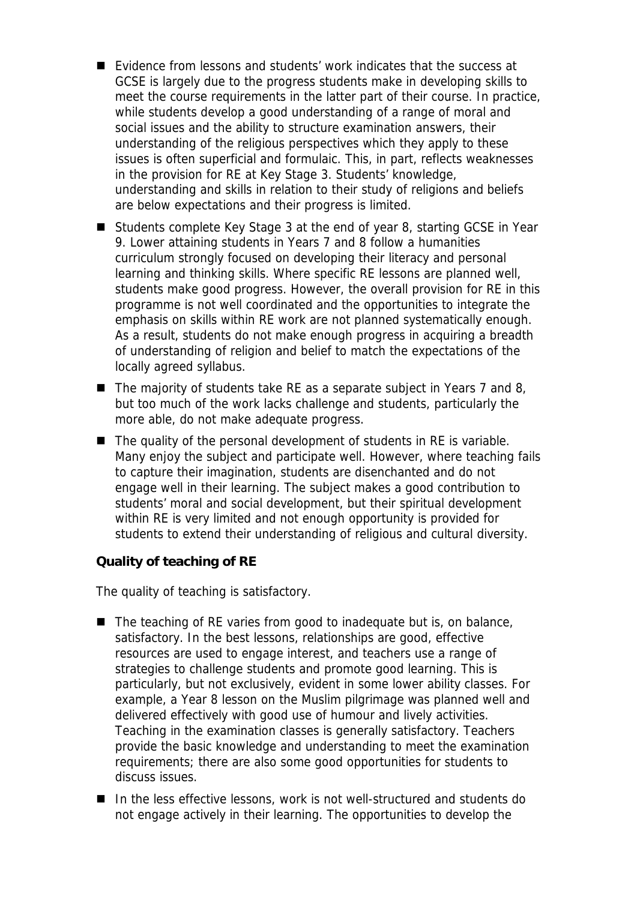- Evidence from lessons and students' work indicates that the success at GCSE is largely due to the progress students make in developing skills to meet the course requirements in the latter part of their course. In practice, while students develop a good understanding of a range of moral and social issues and the ability to structure examination answers, their understanding of the religious perspectives which they apply to these issues is often superficial and formulaic. This, in part, reflects weaknesses in the provision for RE at Key Stage 3. Students' knowledge, understanding and skills in relation to their study of religions and beliefs are below expectations and their progress is limited.
- Students complete Key Stage 3 at the end of year 8, starting GCSE in Year 9. Lower attaining students in Years 7 and 8 follow a humanities curriculum strongly focused on developing their literacy and personal learning and thinking skills. Where specific RE lessons are planned well, students make good progress. However, the overall provision for RE in this programme is not well coordinated and the opportunities to integrate the emphasis on skills within RE work are not planned systematically enough. As a result, students do not make enough progress in acquiring a breadth of understanding of religion and belief to match the expectations of the locally agreed syllabus.
- $\blacksquare$  The majority of students take RE as a separate subject in Years 7 and 8, but too much of the work lacks challenge and students, particularly the more able, do not make adequate progress.
- The quality of the personal development of students in RE is variable. Many enjoy the subject and participate well. However, where teaching fails to capture their imagination, students are disenchanted and do not engage well in their learning. The subject makes a good contribution to students' moral and social development, but their spiritual development within RE is very limited and not enough opportunity is provided for students to extend their understanding of religious and cultural diversity.

**Quality of teaching of RE** 

The quality of teaching is satisfactory.

- The teaching of RE varies from good to inadequate but is, on balance, satisfactory. In the best lessons, relationships are good, effective resources are used to engage interest, and teachers use a range of strategies to challenge students and promote good learning. This is particularly, but not exclusively, evident in some lower ability classes. For example, a Year 8 lesson on the Muslim pilgrimage was planned well and delivered effectively with good use of humour and lively activities. Teaching in the examination classes is generally satisfactory. Teachers provide the basic knowledge and understanding to meet the examination requirements; there are also some good opportunities for students to discuss issues.
- In the less effective lessons, work is not well-structured and students do not engage actively in their learning. The opportunities to develop the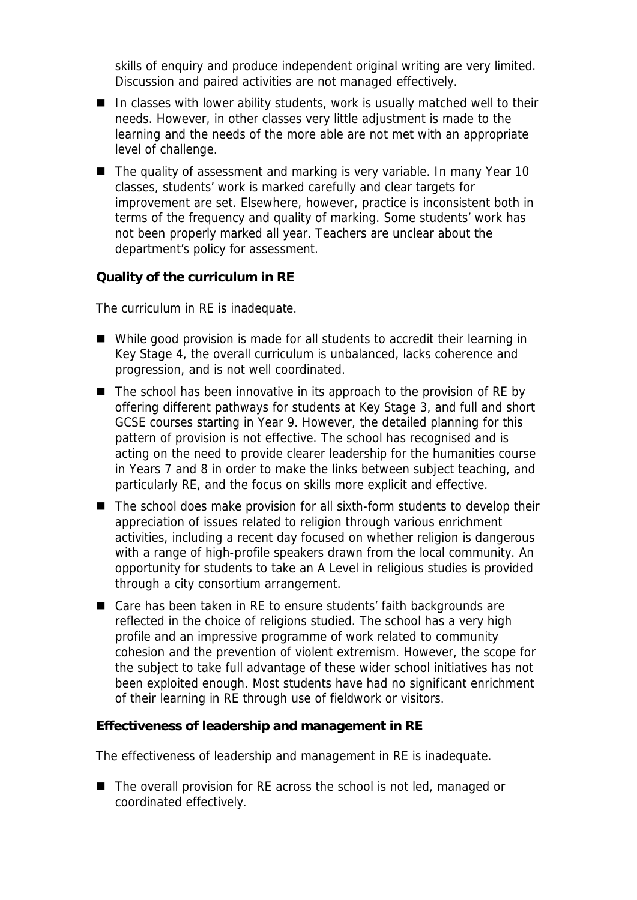skills of enquiry and produce independent original writing are very limited. Discussion and paired activities are not managed effectively.

- In classes with lower ability students, work is usually matched well to their needs. However, in other classes very little adjustment is made to the learning and the needs of the more able are not met with an appropriate level of challenge.
- The quality of assessment and marking is very variable. In many Year 10 classes, students' work is marked carefully and clear targets for improvement are set. Elsewhere, however, practice is inconsistent both in terms of the frequency and quality of marking. Some students' work has not been properly marked all year. Teachers are unclear about the department's policy for assessment.

**Quality of the curriculum in RE** 

The curriculum in RE is inadequate.

- While good provision is made for all students to accredit their learning in Key Stage 4, the overall curriculum is unbalanced, lacks coherence and progression, and is not well coordinated.
- The school has been innovative in its approach to the provision of RE by offering different pathways for students at Key Stage 3, and full and short GCSE courses starting in Year 9. However, the detailed planning for this pattern of provision is not effective. The school has recognised and is acting on the need to provide clearer leadership for the humanities course in Years 7 and 8 in order to make the links between subject teaching, and particularly RE, and the focus on skills more explicit and effective.
- The school does make provision for all sixth-form students to develop their appreciation of issues related to religion through various enrichment activities, including a recent day focused on whether religion is dangerous with a range of high-profile speakers drawn from the local community. An opportunity for students to take an A Level in religious studies is provided through a city consortium arrangement.
- Care has been taken in RE to ensure students' faith backgrounds are reflected in the choice of religions studied. The school has a very high profile and an impressive programme of work related to community cohesion and the prevention of violent extremism. However, the scope for the subject to take full advantage of these wider school initiatives has not been exploited enough. Most students have had no significant enrichment of their learning in RE through use of fieldwork or visitors.

**Effectiveness of leadership and management in RE** 

The effectiveness of leadership and management in RE is inadequate.

■ The overall provision for RE across the school is not led, managed or coordinated effectively.